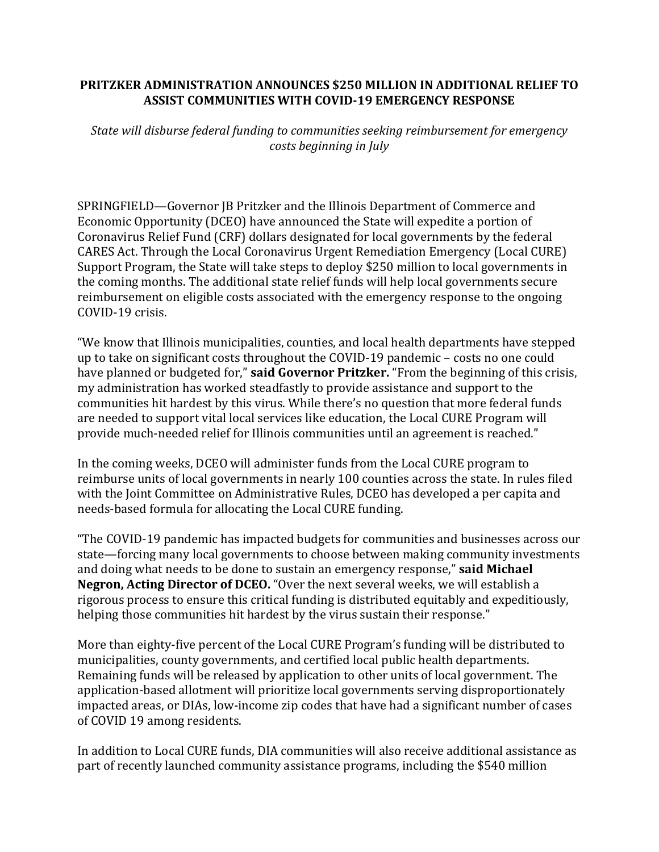## **PRITZKER ADMINISTRATION ANNOUNCES \$250 MILLION IN ADDITIONAL RELIEF TO ASSIST COMMUNITIES WITH COVID-19 EMERGENCY RESPONSE**

*State will disburse federal funding to communities seeking reimbursement for emergency costs beginning in July*

SPRINGFIELD—Governor JB Pritzker and the Illinois Department of Commerce and Economic Opportunity (DCEO) have announced the State will expedite a portion of Coronavirus Relief Fund (CRF) dollars designated for local governments by the federal CARES Act. Through the Local Coronavirus Urgent Remediation Emergency (Local CURE) Support Program, the State will take steps to deploy \$250 million to local governments in the coming months. The additional state relief funds will help local governments secure reimbursement on eligible costs associated with the emergency response to the ongoing COVID-19 crisis.

"We know that Illinois municipalities, counties, and local health departments have stepped up to take on significant costs throughout the COVID-19 pandemic – costs no one could have planned or budgeted for," **said Governor Pritzker.** "From the beginning of this crisis, my administration has worked steadfastly to provide assistance and support to the communities hit hardest by this virus. While there's no question that more federal funds are needed to support vital local services like education, the Local CURE Program will provide much-needed relief for Illinois communities until an agreement is reached."

In the coming weeks, DCEO will administer funds from the Local CURE program to reimburse units of local governments in nearly 100 counties across the state. In rules filed with the Joint Committee on Administrative Rules, DCEO has developed a per capita and needs-based formula for allocating the Local CURE funding.

"The COVID-19 pandemic has impacted budgets for communities and businesses across our state—forcing many local governments to choose between making community investments and doing what needs to be done to sustain an emergency response," **said Michael Negron, Acting Director of DCEO.** "Over the next several weeks, we will establish a rigorous process to ensure this critical funding is distributed equitably and expeditiously, helping those communities hit hardest by the virus sustain their response."

More than eighty-five percent of the Local CURE Program's funding will be distributed to municipalities, county governments, and certified local public health departments. Remaining funds will be released by application to other units of local government. The application-based allotment will prioritize local governments serving disproportionately impacted areas, or DIAs, low-income zip codes that have had a significant number of cases of COVID 19 among residents.

In addition to Local CURE funds, DIA communities will also receive additional assistance as part of recently launched community assistance programs, including the \$540 million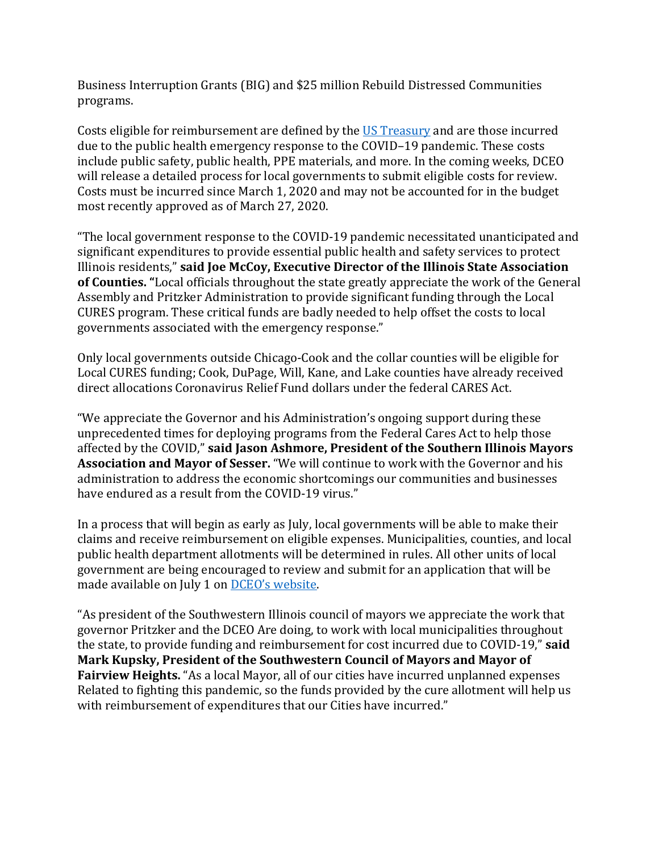Business Interruption Grants (BIG) and \$25 million Rebuild Distressed Communities programs.

Costs eligible for reimbursement are defined by the [US Treasury](https://home.treasury.gov/system/files/136/Coronavirus-Relief-Fund-Guidance-for-State-Territorial-Local-and-Tribal-Governments.pdf) and are those incurred due to the public health emergency response to the COVID–19 pandemic. These costs include public safety, public health, PPE materials, and more. In the coming weeks, DCEO will release a detailed process for local governments to submit eligible costs for review. Costs must be incurred since March 1, 2020 and may not be accounted for in the budget most recently approved as of March 27, 2020.

"The local government response to the COVID-19 pandemic necessitated unanticipated and significant expenditures to provide essential public health and safety services to protect Illinois residents," **said Joe McCoy, Executive Director of the Illinois State Association of Counties. "**Local officials throughout the state greatly appreciate the work of the General Assembly and Pritzker Administration to provide significant funding through the Local CURES program. These critical funds are badly needed to help offset the costs to local governments associated with the emergency response."

Only local governments outside Chicago-Cook and the collar counties will be eligible for Local CURES funding; Cook, DuPage, Will, Kane, and Lake counties have already received direct allocations Coronavirus Relief Fund dollars under the federal CARES Act.

"We appreciate the Governor and his Administration's ongoing support during these unprecedented times for deploying programs from the Federal Cares Act to help those affected by the COVID," **said Jason Ashmore, President of the Southern Illinois Mayors Association and Mayor of Sesser.** "We will continue to work with the Governor and his administration to address the economic shortcomings our communities and businesses have endured as a result from the COVID-19 virus."

In a process that will begin as early as July, local governments will be able to make their claims and receive reimbursement on eligible expenses. Municipalities, counties, and local public health department allotments will be determined in rules. All other units of local government are being encouraged to review and submit for an application that will be made available on July 1 on [DCEO's website.](https://www2.illinois.gov/dceo/Pages/default.aspx) 

"As president of the Southwestern Illinois council of mayors we appreciate the work that governor Pritzker and the DCEO Are doing, to work with local municipalities throughout the state, to provide funding and reimbursement for cost incurred due to COVID-19," **said Mark Kupsky, President of the Southwestern Council of Mayors and Mayor of Fairview Heights.** "As a local Mayor, all of our cities have incurred unplanned expenses Related to fighting this pandemic, so the funds provided by the cure allotment will help us with reimbursement of expenditures that our Cities have incurred."